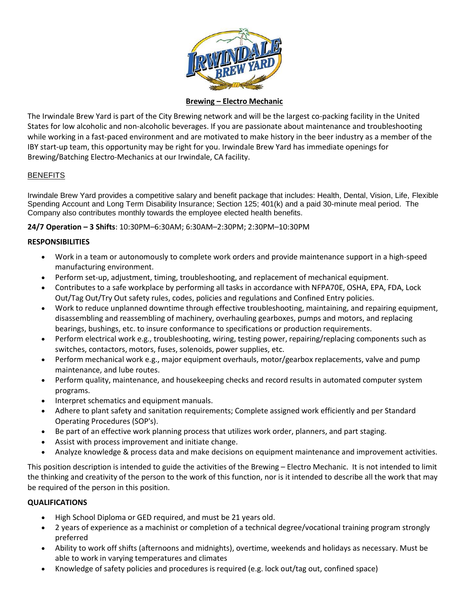

## **Brewing – Electro Mechanic**

The Irwindale Brew Yard is part of the City Brewing network and will be the largest co-packing facility in the United States for low alcoholic and non-alcoholic beverages. If you are passionate about maintenance and troubleshooting while working in a fast-paced environment and are motivated to make history in the beer industry as a member of the IBY start-up team, this opportunity may be right for you. Irwindale Brew Yard has immediate openings for Brewing/Batching Electro-Mechanics at our Irwindale, CA facility.

# **BENEFITS**

Irwindale Brew Yard provides a competitive salary and benefit package that includes: Health, Dental, Vision, Life, Flexible Spending Account and Long Term Disability Insurance; Section 125; 401(k) and a paid 30-minute meal period. The Company also contributes monthly towards the employee elected health benefits.

**24/7 Operation – 3 Shifts**: 10:30PM–6:30AM; 6:30AM–2:30PM; 2:30PM–10:30PM

## **RESPONSIBILITIES**

- Work in a team or autonomously to complete work orders and provide maintenance support in a high-speed manufacturing environment.
- Perform set-up, adjustment, timing, troubleshooting, and replacement of mechanical equipment.
- Contributes to a safe workplace by performing all tasks in accordance with NFPA70E, OSHA, EPA, FDA, Lock Out/Tag Out/Try Out safety rules, codes, policies and regulations and Confined Entry policies.
- Work to reduce unplanned downtime through effective troubleshooting, maintaining, and repairing equipment, disassembling and reassembling of machinery, overhauling gearboxes, pumps and motors, and replacing bearings, bushings, etc. to insure conformance to specifications or production requirements.
- Perform electrical work e.g., troubleshooting, wiring, testing power, repairing/replacing components such as switches, contactors, motors, fuses, solenoids, power supplies, etc.
- Perform mechanical work e.g., major equipment overhauls, motor/gearbox replacements, valve and pump maintenance, and lube routes.
- Perform quality, maintenance, and housekeeping checks and record results in automated computer system programs.
- Interpret schematics and equipment manuals.
- Adhere to plant safety and sanitation requirements; Complete assigned work efficiently and per Standard Operating Procedures (SOP's).
- Be part of an effective work planning process that utilizes work order, planners, and part staging.
- Assist with process improvement and initiate change.
- Analyze knowledge & process data and make decisions on equipment maintenance and improvement activities.

This position description is intended to guide the activities of the Brewing – Electro Mechanic. It is not intended to limit the thinking and creativity of the person to the work of this function, nor is it intended to describe all the work that may be required of the person in this position.

# **QUALIFICATIONS**

- High School Diploma or GED required, and must be 21 years old.
- 2 years of experience as a machinist or completion of a technical degree/vocational training program strongly preferred
- Ability to work off shifts (afternoons and midnights), overtime, weekends and holidays as necessary. Must be able to work in varying temperatures and climates
- Knowledge of safety policies and procedures is required (e.g. lock out/tag out, confined space)